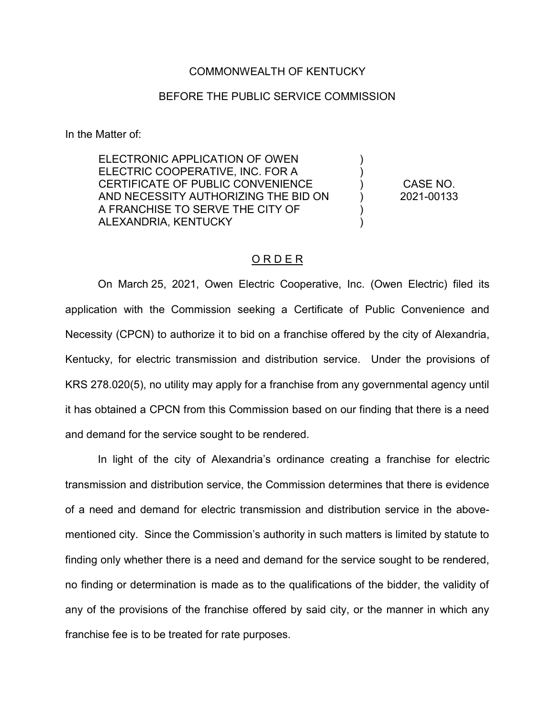## COMMONWEALTH OF KENTUCKY

## BEFORE THE PUBLIC SERVICE COMMISSION

In the Matter of:

ELECTRONIC APPLICATION OF OWEN ELECTRIC COOPERATIVE, INC. FOR A CERTIFICATE OF PUBLIC CONVENIENCE AND NECESSITY AUTHORIZING THE BID ON A FRANCHISE TO SERVE THE CITY OF ALEXANDRIA, KENTUCKY

CASE NO. 2021-00133

) ) ) ) ) )

## O R D E R

On March 25, 2021, Owen Electric Cooperative, Inc. (Owen Electric) filed its application with the Commission seeking a Certificate of Public Convenience and Necessity (CPCN) to authorize it to bid on a franchise offered by the city of Alexandria, Kentucky, for electric transmission and distribution service. Under the provisions of KRS 278.020(5), no utility may apply for a franchise from any governmental agency until it has obtained a CPCN from this Commission based on our finding that there is a need and demand for the service sought to be rendered.

In light of the city of Alexandria's ordinance creating a franchise for electric transmission and distribution service, the Commission determines that there is evidence of a need and demand for electric transmission and distribution service in the abovementioned city. Since the Commission's authority in such matters is limited by statute to finding only whether there is a need and demand for the service sought to be rendered, no finding or determination is made as to the qualifications of the bidder, the validity of any of the provisions of the franchise offered by said city, or the manner in which any franchise fee is to be treated for rate purposes.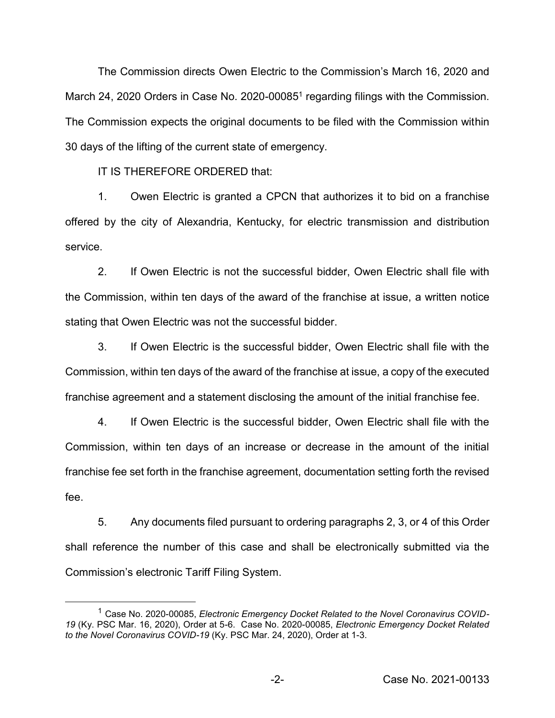The Commission directs Owen Electric to the Commission's March 16, 2020 and March 24, 2020 Orders in Case No. 2020-00085<sup>1</sup> regarding filings with the Commission. The Commission expects the original documents to be filed with the Commission within 30 days of the lifting of the current state of emergency.

IT IS THEREFORE ORDERED that:

1. Owen Electric is granted a CPCN that authorizes it to bid on a franchise offered by the city of Alexandria, Kentucky, for electric transmission and distribution service.

2. If Owen Electric is not the successful bidder, Owen Electric shall file with the Commission, within ten days of the award of the franchise at issue, a written notice stating that Owen Electric was not the successful bidder.

3. If Owen Electric is the successful bidder, Owen Electric shall file with the Commission, within ten days of the award of the franchise at issue, a copy of the executed franchise agreement and a statement disclosing the amount of the initial franchise fee.

4. If Owen Electric is the successful bidder, Owen Electric shall file with the Commission, within ten days of an increase or decrease in the amount of the initial franchise fee set forth in the franchise agreement, documentation setting forth the revised fee.

5. Any documents filed pursuant to ordering paragraphs 2, 3, or 4 of this Order shall reference the number of this case and shall be electronically submitted via the Commission's electronic Tariff Filing System.

<sup>&</sup>lt;sup>1</sup> Case No. 2020-00085, Electronic Emergency Docket Related to the Novel Coronavirus COVID-*19* (Ky. PSC Mar. 16, 2020), Order at 5-6. Case No. 2020-00085, *Electronic Emergency Docket Related to the Novel Coronavirus COVID-19* (Ky. PSC Mar. 24, 2020), Order at 1-3.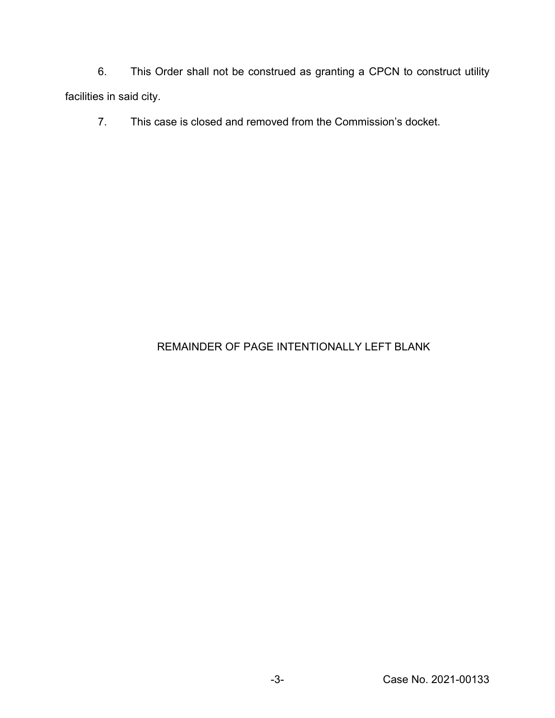6. This Order shall not be construed as granting a CPCN to construct utility facilities in said city.

7. This case is closed and removed from the Commission's docket.

## REMAINDER OF PAGE INTENTIONALLY LEFT BLANK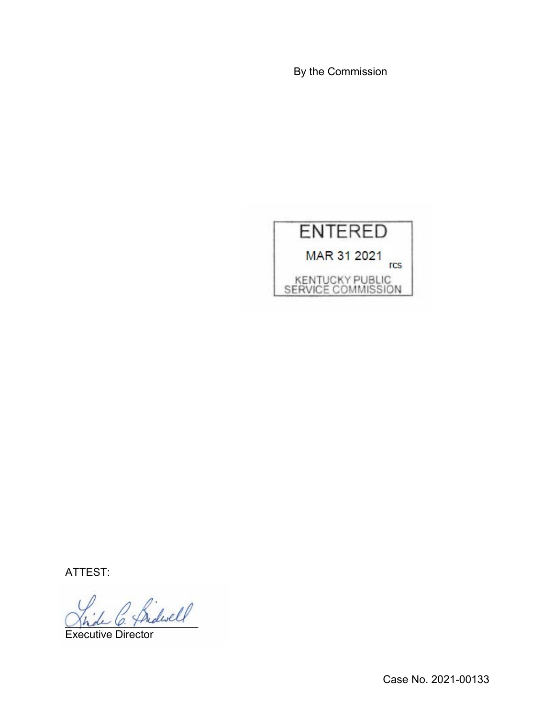By the Commission



ATTEST:

 $\frac{1}{\beta}$  he diself

Executive Director

Case No. 2021-00133